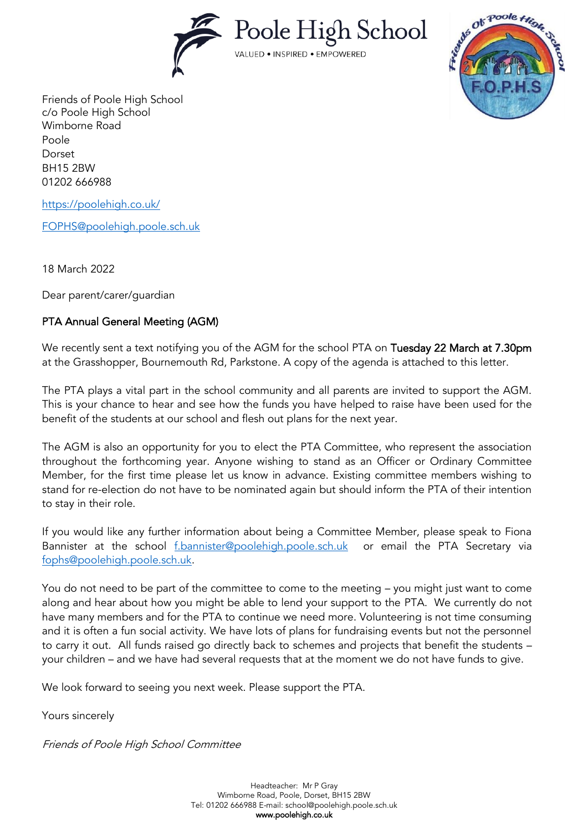



Friends of Poole High School c/o Poole High School Wimborne Road Poole Dorset BH15 2BW 01202 666988

<https://poolehigh.co.uk/>

[FOPHS@poolehigh.poole.sch.uk](mailto:FOPHS@poolehigh.poole.sch.uk)

18 March 2022

Dear parent/carer/guardian

## PTA Annual General Meeting (AGM)

We recently sent a text notifying you of the AGM for the school PTA on Tuesday 22 March at 7.30pm at the Grasshopper, Bournemouth Rd, Parkstone. A copy of the agenda is attached to this letter.

The PTA plays a vital part in the school community and all parents are invited to support the AGM. This is your chance to hear and see how the funds you have helped to raise have been used for the benefit of the students at our school and flesh out plans for the next year.

The AGM is also an opportunity for you to elect the PTA Committee, who represent the association throughout the forthcoming year. Anyone wishing to stand as an Officer or Ordinary Committee Member, for the first time please let us know in advance. Existing committee members wishing to stand for re-election do not have to be nominated again but should inform the PTA of their intention to stay in their role.

If you would like any further information about being a Committee Member, please speak to Fiona Bannister at the school [f.bannister@poolehigh.poole.sch.uk](mailto:f.bannister@poolehigh.poole.sch.uk) or email the PTA Secretary via [fophs@poolehigh.poole.sch.uk.](mailto:fophs@poolehigh.poole.sch.uk)

You do not need to be part of the committee to come to the meeting – you might just want to come along and hear about how you might be able to lend your support to the PTA. We currently do not have many members and for the PTA to continue we need more. Volunteering is not time consuming and it is often a fun social activity. We have lots of plans for fundraising events but not the personnel to carry it out. All funds raised go directly back to schemes and projects that benefit the students – your children – and we have had several requests that at the moment we do not have funds to give.

We look forward to seeing you next week. Please support the PTA.

Yours sincerely

Friends of Poole High School Committee